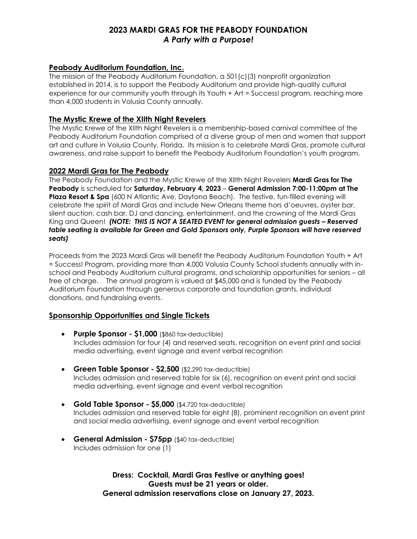# **2023 MARDI GRAS FOR THE PEABODY FOUNDATION** *A Party with a Purpose!*

# **Peabody Auditorium Foundation, Inc.**

The mission of the Peabody Auditorium Foundation, a 501(c)(3) nonprofit organization established in 2014, is to support the Peabody Auditorium and provide high-quality cultural experience for our community youth through its Youth + Art = Success! program, reaching more than 4,000 students in Volusia County annually.

## **The Mystic Krewe of the XIIth Night Revelers**

The Mystic Krewe of the XIIth Night Revelers is a membership-based carnival committee of the Peabody Auditorium Foundation comprised of a diverse group of men and women that support art and culture in Volusia County, Florida. Its mission is to celebrate Mardi Gras, promote cultural awareness, and raise support to benefit the Peabody Auditorium Foundation's youth program.

### **2022 Mardi Gras for The Peabody**

The Peabody Foundation and the Mystic Krewe of the XIIth Night Revelers **Mardi Gras for The Peabody** is scheduled for **Saturday, February 4, 2023** – **General Admission 7:00-11:00pm at The Plaza Resort & Spa** (600 N Atlantic Ave, Daytona Beach). The festive, fun-filled evening will celebrate the spirit of Mardi Gras and include New Orleans theme hors d'oeuvres, oyster bar, silent auction, cash bar, DJ and dancing, entertainment, and the crowning of the Mardi Gras King and Queen! *(NOTE: THIS IS NOT A SEATED EVENT for general admission guests - Reserved table seating is available for Green and Gold Sponsors only, Purple Sponsors will have reserved seats)*

Proceeds from the 2023 Mardi Gras will benefit the Peabody Auditorium Foundation Youth + Art = Success! Program, providing more than 4,000 Volusia County School students annually with inschool and Peabody Auditorium cultural programs, and scholarship opportunities for seniors – all free of charge. The annual program is valued at \$45,000 and is funded by the Peabody Auditorium Foundation through generous corporate and foundation grants, individual donations, and fundraising events.

# **Sponsorship Opportunities and Single Tickets**

- **Purple Sponsor - \$1,000** (\$860 tax-deductible) Includes admission for four (4) and reserved seats, recognition on event print and social media advertising, event signage and event verbal recognition
- **Green Table Sponsor - \$2,500** (\$2,290 tax-deductible) Includes admission and reserved table for six (6), recognition on event print and social media advertising, event signage and event verbal recognition
- **Gold Table Sponsor - \$5,000** (\$4,720 tax-deductible) Includes admission and reserved table for eight (8), prominent recognition on event print and social media advertising, event signage and event verbal recognition
- **General Admission - \$75pp** (\$40 tax-deductible) Includes admission for one (1)

**Dress: Cocktail, Mardi Gras Festive or anything goes! Guests must be 21 years or older. General admission reservations close on January 27, 2023.**